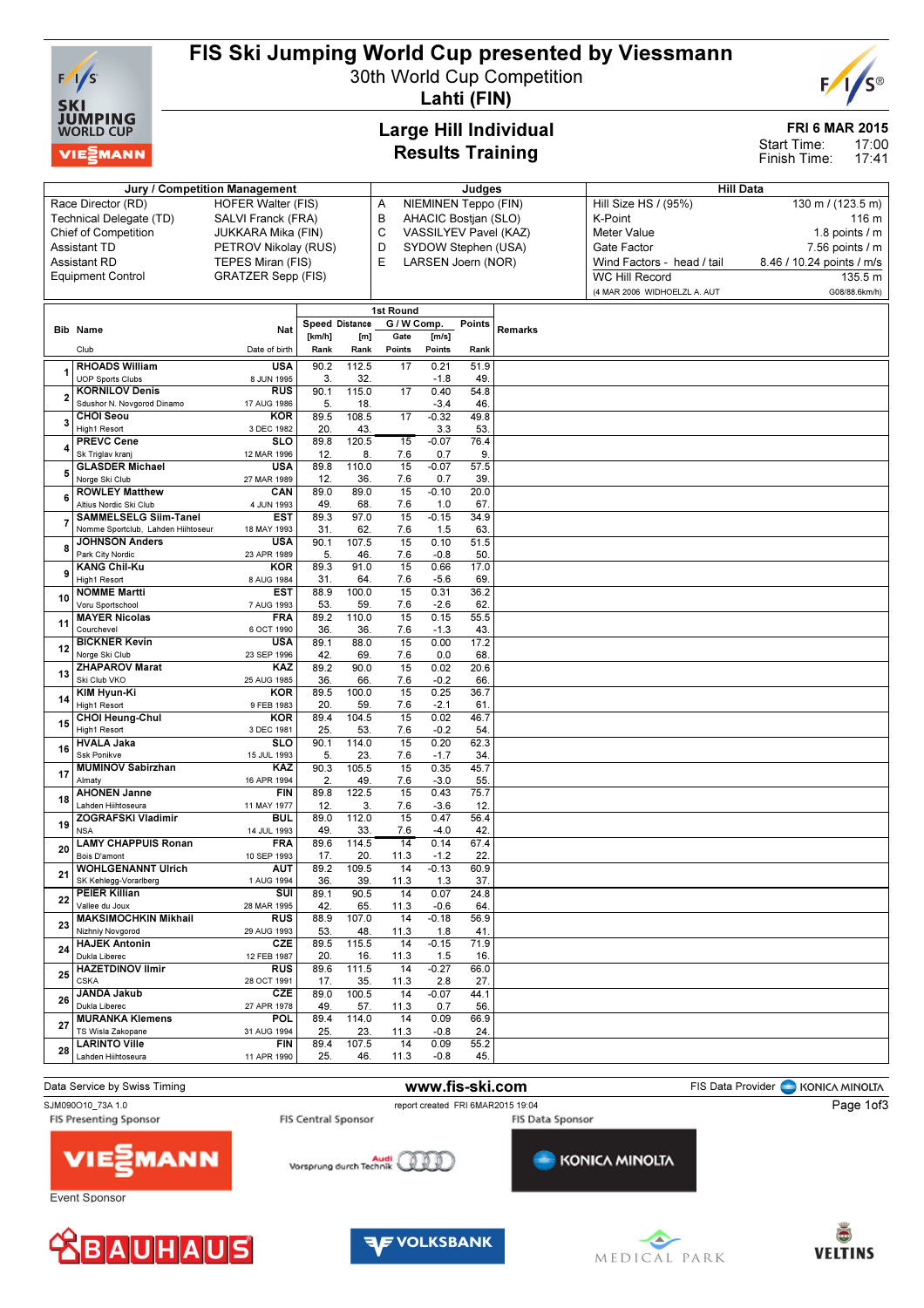

26 JANDA Jakub -<br>Dukla Libere

28 LARINTO VIIIe Lahden Hiihtoseura

27 MURANKA Klemens TS Wisla Zakopane

**CZE** 27 APR 1978

**POL** 31 AUG 1994

FIN 11 APR 1990 89.0 100.5 49. 57.

89.4 114.0 25. 23.

89.4 107.5 25. 46.

## FIS Ski Jumping World Cup presented by Viessmann

30th World Cup Competition Lahti (FIN)

## Large Hill Individual Results Training

Jury / Competition Management and The Studies Hill Data Hill Data

#### FRI 6 MAR 2015

17:00 17:41 Start Time: Finish Time:

| Race Director (RD)          |                                           | <b>HOFER Walter (FIS)</b> |                | Α            | NIEMINEN Teppo (FIN)     |                       |            | Hill Size HS / (95%) | 130 m / (123.5 m)            |                           |  |  |
|-----------------------------|-------------------------------------------|---------------------------|----------------|--------------|--------------------------|-----------------------|------------|----------------------|------------------------------|---------------------------|--|--|
| Technical Delegate (TD)     |                                           | SALVI Franck (FRA)        |                |              | B                        | AHACIC Bostjan (SLO)  |            |                      | K-Point                      | 116 m                     |  |  |
| <b>Chief of Competition</b> |                                           | JUKKARA Mika (FIN)        |                |              | C                        | VASSILYEV Pavel (KAZ) |            |                      | <b>Meter Value</b>           | 1.8 points $/$ m          |  |  |
| Assistant TD                |                                           | PETROV Nikolay (RUS)      |                |              | D                        | SYDOW Stephen (USA)   |            |                      | Gate Factor                  | $7.56$ points $/ m$       |  |  |
|                             | Assistant RD                              | TEPES Miran (FIS)         |                |              | E                        | LARSEN Joern (NOR)    |            |                      | Wind Factors - head / tail   | 8.46 / 10.24 points / m/s |  |  |
|                             | <b>Equipment Control</b>                  | <b>GRATZER Sepp (FIS)</b> |                |              |                          |                       |            |                      | <b>WC Hill Record</b>        | 135.5 m                   |  |  |
|                             |                                           |                           |                |              |                          |                       |            |                      | (4 MAR 2006 WIDHOELZL A. AUT | G08/88.6km/h)             |  |  |
|                             |                                           |                           |                |              |                          |                       |            |                      |                              |                           |  |  |
|                             |                                           |                           | Speed Distance |              | 1st Round<br>G / W Comp. |                       |            |                      |                              |                           |  |  |
|                             | <b>Bib Name</b>                           | <b>Nat</b>                | [km/h]         | [m]          | Gate                     | [m/s]                 | Points     | Remarks              |                              |                           |  |  |
|                             | Club                                      | Date of birth             | Rank           | Rank         | Points                   | Points                | Rank       |                      |                              |                           |  |  |
|                             | <b>RHOADS William</b>                     | <b>USA</b>                | 90.2           | 112.5        | 17                       | 0.21                  | 51.9       |                      |                              |                           |  |  |
|                             | <b>UOP Sports Clubs</b>                   | 8 JUN 1995                | 3              | 32           |                          | $-1.8$                | 49         |                      |                              |                           |  |  |
|                             | <b>KORNILOV Denis</b>                     | <b>RUS</b>                | 90.1           | 115.0        | 17                       | 0.40                  | 54.8       |                      |                              |                           |  |  |
|                             | Sdushor N. Novgorod Dinamo                | 17 AUG 1986               | 5.             | 18.          |                          | $-3.4$                | 46.        |                      |                              |                           |  |  |
| 3                           | <b>CHOI Seou</b>                          | <b>KOR</b>                | 89.5           | 108.5        | 17                       | $-0.32$               | 49.8       |                      |                              |                           |  |  |
|                             | High1 Resort                              | 3 DEC 1982                | 20             | 43.          |                          | 3.3                   | 53         |                      |                              |                           |  |  |
|                             | <b>PREVC Cene</b><br>Sk Triglav kran      | <b>SLO</b><br>12 MAR 1996 | 89.8<br>12     | 120.5<br>8   | 15<br>7.6                | $-0.07$<br>0.7        | 76.4<br>9. |                      |                              |                           |  |  |
|                             | <b>GLASDER Michael</b>                    | <b>USA</b>                | 89.8           | 110.0        | 15                       | $-0.07$               | 57.5       |                      |                              |                           |  |  |
|                             | Norge Ski Club                            | 27 MAR 1989               | 12             | 36.          | 7.6                      | 0.7                   | 39         |                      |                              |                           |  |  |
| 6                           | <b>ROWLEY Matthew</b>                     | CAN                       | 89.0           | 89.0         | 15                       | $-0.10$               | 20.0       |                      |                              |                           |  |  |
|                             | Altius Nordic Ski Club                    | 4 JUN 1993                | 49             | 68.          | 7.6                      | 1.0                   | 67.        |                      |                              |                           |  |  |
|                             | <b>SAMMELSELG Siim-Tanel</b>              | <b>EST</b>                | 89.3           | 97.0         | 15                       | $-0.15$               | 34.9       |                      |                              |                           |  |  |
|                             | Nomme Sportclub, Lahden Hiihtoseur        | 18 MAY 1993               | 31             | 62.          | 7.6                      | 1.5                   | 63.        |                      |                              |                           |  |  |
|                             | <b>JOHNSON Anders</b><br>Park City Nordic | <b>USA</b><br>23 APR 1989 | 90.1<br>5.     | 107.5<br>46. | 15<br>7.6                | 0.10<br>$-0.8$        | 51.5<br>50 |                      |                              |                           |  |  |
|                             | <b>KANG Chil-Ku</b>                       | <b>KOR</b>                | 89.3           | 91.0         | 15                       | 0.66                  | 17.0       |                      |                              |                           |  |  |
| 9                           | High1 Resort                              | 8 AUG 1984                | 31             | 64.          | 7.6                      | $-5.6$                | 69         |                      |                              |                           |  |  |
|                             | <b>NOMME Martti</b>                       | <b>EST</b>                | 88.9           | 100.0        | 15                       | 0.31                  | 36.2       |                      |                              |                           |  |  |
| 10                          | Voru Sportschool                          | 7 AUG 1993                | 53             | 59.          | 7.6                      | $-2.6$                | 62.        |                      |                              |                           |  |  |
| 11                          | <b>MAYER Nicolas</b>                      | <b>FRA</b>                | 89.2           | 110.0        | 15                       | 0.15                  | 55.5       |                      |                              |                           |  |  |
|                             | Courchevel                                | 6 OCT 1990                | 36.            | 36.          | 7.6                      | $-1.3$                | 43         |                      |                              |                           |  |  |
| 12                          | <b>BICKNER Kevin</b><br>Norge Ski Club    | <b>USA</b><br>23 SEP 1996 | 89.1<br>42.    | 88.0<br>69.  | 15<br>7.6                | 0.00<br>0.0           | 17.2<br>68 |                      |                              |                           |  |  |
|                             | <b>ZHAPAROV Marat</b>                     | KAZ                       | 89.2           | 90.0         | 15                       | 0.02                  | 20.6       |                      |                              |                           |  |  |
| 13                          | Ski Club VKO                              | 25 AUG 1985               | 36.            | 66.          | 7.6                      | $-0.2$                | 66         |                      |                              |                           |  |  |
|                             | <b>KIM Hyun-Ki</b>                        | <b>KOR</b>                | 89.5           | 100.0        | 15                       | 0.25                  | 36.7       |                      |                              |                           |  |  |
| 14                          | High1 Resort                              | 9 FEB 1983                | 20             | 59.          | 7.6                      | $-2.1$                | 61         |                      |                              |                           |  |  |
| 15                          | <b>CHOI Heung-Chul</b>                    | <b>KOR</b>                | 89.4           | 104.5        | 15                       | 0.02                  | 46.7       |                      |                              |                           |  |  |
|                             | High1 Resort                              | 3 DEC 1981                | 25.            | 53.          | 7.6                      | $-0.2$                | 54         |                      |                              |                           |  |  |
| 16                          | <b>HVALA Jaka</b><br><b>Ssk Ponikve</b>   | <b>SLO</b><br>15 JUL 1993 | 90.1<br>5.     | 114.0<br>23. | 15<br>7.6                | 0.20<br>$-1.7$        | 62.3<br>34 |                      |                              |                           |  |  |
|                             | <b>MUMINOV Sabirzhan</b>                  | KAZ                       | 90.3           | 105.5        | 15                       | 0.35                  | 45.7       |                      |                              |                           |  |  |
| 17                          | Almaty                                    | 16 APR 1994               | 2.             | 49           | 7.6                      | $-3.0$                | 55.        |                      |                              |                           |  |  |
| 18                          | <b>AHONEN Janne</b>                       | <b>FIN</b>                | 89.8           | 122.5        | 15                       | 0.43                  | 75.7       |                      |                              |                           |  |  |
|                             | Lahden Hiihtoseura                        | 11 MAY 1977               | 12.            | 3.           | 7.6                      | $-3.6$                | 12.        |                      |                              |                           |  |  |
| 19                          | <b>ZOGRAFSKI Vladimir</b>                 | <b>BUL</b>                | 89.0           | 112.0        | 15                       | 0.47                  | 56.4       |                      |                              |                           |  |  |
|                             | <b>NSA</b><br><b>LAMY CHAPPUIS Ronan</b>  | 14 JUL 1993               | 49.            | 33.          | 7.6                      | $-4.0$                | 42         |                      |                              |                           |  |  |
| 20                          | Bois D'amont                              | <b>FRA</b><br>10 SEP 1993 | 89.6<br>17.    | 114.5<br>20. | $\overline{14}$<br>11.3  | 0.14<br>$-1.2$        | 67.4<br>22 |                      |                              |                           |  |  |
|                             | <b>WOHLGENANNT Ulrich</b>                 | AUT                       | 89.2           | 109.5        | 14                       | $-0.13$               | 60.9       |                      |                              |                           |  |  |
| 21                          | SK Kehlegg-Vorarlberg                     | 1 AUG 1994                | 36             | 39.          | 11.3                     | 1.3                   | 37.        |                      |                              |                           |  |  |
|                             | <b>PEIER Killian</b>                      | SUI                       | 89.1           | 90.5         | 14                       | 0.07                  | 24.8       |                      |                              |                           |  |  |
| 22                          | Vallee du Joux                            | 28 MAR 1995               | 42             | 65           | 11.3                     | $-0.6$                | 64         |                      |                              |                           |  |  |
| 23                          | <b>MAKSIMOCHKIN Mikhail</b>               | <b>RUS</b>                | 88.9           | 107.0        | 14                       | $-0.18$               | 56.9       |                      |                              |                           |  |  |
|                             | Nizhniy Novgorod                          | 29 AUG 1993               | 53.            | 48.          | 11.3                     | 1.8                   | 41         |                      |                              |                           |  |  |
| 24                          | <b>HAJEK Antonin</b><br>Dukla Liberec     | CZE<br>12 FEB 1987        | 89.5<br>20     | 115.5<br>16. | 14<br>11.3               | $-0.15$<br>1.5        | 71.9<br>16 |                      |                              |                           |  |  |
|                             | <b>HAZETDINOV Ilmir</b>                   | <b>RUS</b>                | 89.6           | 111.5        | 14                       | $-0.27$               | 66.0       |                      |                              |                           |  |  |
| 25                          | <b>CSKA</b>                               | 28 OCT 1991               | 17.            | 35.          | 11.3                     | 2.8                   | 27.        |                      |                              |                           |  |  |



14 -0.07 44.1 11.3 0.7 56.

14 0.09 66.9 11.3 -0.8 24.

14 0.09 55.2 11.3 -0.8 45.







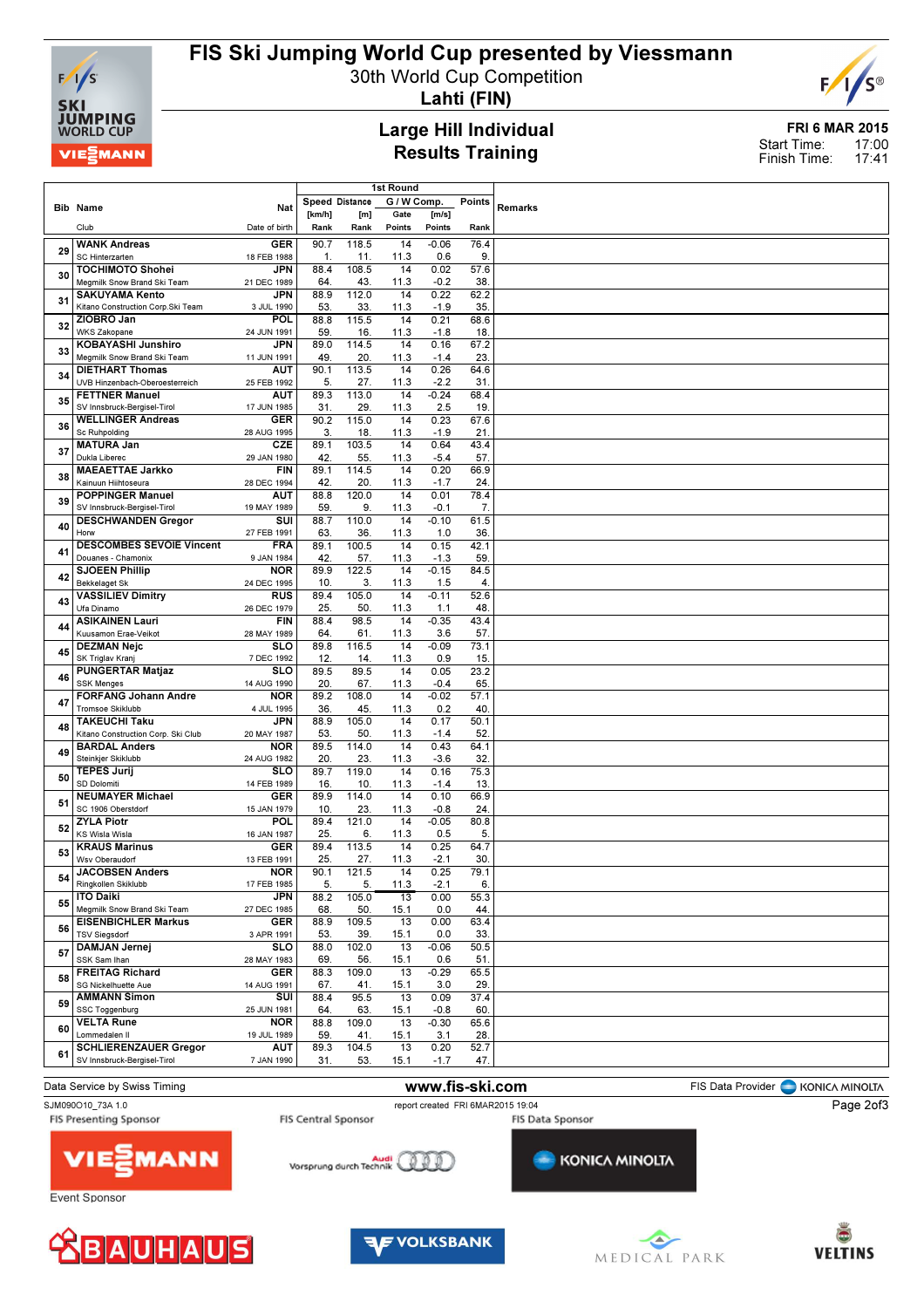

# FIS Ski Jumping World Cup presented by Viessmann

30th World Cup Competition

Lahti (FIN)

## Large Hill Individual Results Training

FRI 6 MAR 2015 17:00 17:41 Start Time: Finish Time:

E

C®

| G / W Comp.<br>Points<br>Speed Distance<br><b>Remarks</b><br><b>Bib Name</b><br>Nat<br>[km/h]<br>[m]<br>Gate<br>[m/s]<br>Club<br>Date of birth<br>Rank<br>Rank<br>Points<br>Points<br>Rank<br>$-0.06$<br>76.4<br><b>WANK Andreas</b><br><b>GER</b><br>90.7<br>118.5<br>14<br>29<br>$\mathbf{1}$<br>0.6<br>9.<br>SC Hinterzarten<br>11.<br>11.3<br>18 FEB 1988<br>108.5<br>14<br>57.6<br><b>TOCHIMOTO Shohei</b><br><b>JPN</b><br>88.4<br>0.02<br>30<br>Megmilk Snow Brand Ski Team<br>64.<br>43.<br>11.3<br>$-0.2$<br>38<br>21 DEC 1989<br><b>JPN</b><br>88.9<br>112.0<br>14<br>0.22<br>62.2<br><b>SAKUYAMA Kento</b><br>31<br>Kitano Construction Corp.Ski Team<br>53<br>33.<br>35<br>3 JUL 1990<br>11.3<br>$-1.9$<br>ZIOBRO Jan<br>POL<br>88.8<br>115.5<br>14<br>0.21<br>68.6<br>32<br><b>WKS Zakopane</b><br>59<br>16.<br>18.<br>24 JUN 1991<br>11.3<br>$-1.8$<br>KOBAYASHI Junshiro<br><b>JPN</b><br>89.0<br>114.5<br>0.16<br>67.2<br>14<br>33<br>Megmilk Snow Brand Ski Team<br>49<br>20.<br>11.3<br>23.<br>11 JUN 1991<br>$-1.4$<br><b>DIETHART Thomas</b><br>AUT<br>90.1<br>113.5<br>14<br>0.26<br>64.6<br>34<br>UVB Hinzenbach-Oberoesterreich<br>5.<br>27.<br>11.3<br>$-2.2$<br>31.<br>25 FEB 1992<br><b>FETTNER Manuel</b><br>89.3<br><b>AUT</b><br>113.0<br>14<br>$-0.24$<br>68.4<br>35<br>SV Innsbruck-Bergisel-Tirol<br>29.<br>19<br>17 JUN 1985<br>31.<br>11.3<br>2.5<br><b>WELLINGER Andreas</b><br>90.2<br>115.0<br>14<br>0.23<br>67.6<br><b>GER</b><br>36<br><b>Sc Ruhpolding</b><br>3.<br>28 AUG 1995<br>18.<br>11.3<br>$-1.9$<br>21.<br>89.1<br>103.5<br>14<br>0.64<br><b>MATURA Jan</b><br>CZE<br>43.4<br>37<br>Dukla Liberec<br>42.<br>55.<br>11.3<br>57.<br>29 JAN 1980<br>$-5.4$<br>89.1<br>114.5<br>0.20<br><b>MAEAETTAE Jarkko</b><br><b>FIN</b><br>14<br>66.9<br>38<br>Kainuun Hiihtoseura<br>42.<br>20.<br>24<br>11.3<br>$-1.7$<br>28 DEC 1994<br><b>POPPINGER Manuel</b><br>88.8<br>120.0<br>14<br>0.01<br>78.4<br>AUT<br>39<br>SV Innsbruck-Bergisel-Tirol<br>59<br>$-0.1$<br>7.<br>19 MAY 1989<br>9.<br>11.3<br>88.7<br>110.0<br>14<br>$-0.10$<br>61.5<br><b>DESCHWANDEN Gregor</b><br>SUI<br>40<br>63<br>11.3<br>36.<br>Horw<br>27 FEB 1991<br>36<br>1.0<br><b>DESCOMBES SEVOIE Vincent</b><br><b>FRA</b><br>89.1<br>100.5<br>14<br>0.15<br>42.1<br>41<br>Douanes - Chamonix<br>57.<br>11.3<br>59<br>9 JAN 1984<br>42.<br>$-1.3$<br><b>SJOEEN Phillip</b><br><b>NOR</b><br>89.9<br>122.5<br>14<br>$-0.15$<br>84.5<br>42<br><b>Bekkelaget Sk</b><br>10<br>3.<br>24 DEC 1995<br>11.3<br>1.5<br>4.<br><b>VASSILIEV Dimitry</b><br>RUS<br>89.4<br>105.0<br>14<br>52.6<br>$-0.11$<br>43<br>Ufa Dinamo<br>25.<br>50.<br>11.3<br>48.<br>26 DEC 1979<br>1.1<br><b>ASIKAINEN Lauri</b><br><b>FIN</b><br>88.4<br>98.5<br>14<br>$-0.35$<br>43.4<br>44<br>Kuusamon Erae-Veikot<br>11.3<br>57.<br>28 MAY 1989<br>64<br>61.<br>3.6<br><b>SLO</b><br>89.8<br>116.5<br>14<br>$-0.09$<br>73.1<br><b>DEZMAN Nejc</b><br>45<br>SK Triglav Kranj<br>7 DEC 1992<br>12.<br>14<br>11.3<br>0.9<br>15.<br><b>PUNGERTAR Matjaz</b><br>slo<br>89.5<br>89.5<br>0.05<br>23.2<br>14<br>46<br><b>SSK Menges</b><br>20.<br>11.3<br>65.<br>14 AUG 1990<br>67.<br>$-0.4$<br><b>FORFANG Johann Andre</b><br><b>NOR</b><br>89.2<br>108.0<br>14<br>$-0.02$<br>57.1<br>47<br><b>Tromsoe Skiklubb</b><br>36<br>45.<br>11.3<br>40.<br>4 JUL 1995<br>0.2<br>88.9<br>105.0<br>$\overline{14}$<br>0.17<br>50.1<br><b>TAKEUCHI Taku</b><br><b>JPN</b><br>48<br>Kitano Construction Corp. Ski Club<br>53<br>50.<br>52<br>20 MAY 1987<br>11.3<br>$-1.4$<br>89.5<br>114.0<br>$\overline{14}$<br>0.43<br>64.1<br><b>BARDAL Anders</b><br><b>NOR</b><br>49<br>Steinkjer Skiklubb<br>20.<br>23.<br>11.3<br>$-3.6$<br>32<br>24 AUG 1982<br>89.7<br>119.0<br><b>TEPES Jurij</b><br>SLO<br>14<br>0.16<br>75.3<br>50<br>SD Dolomiti<br>11.3<br>14 FEB 1989<br>16<br>10<br>$-1.4$<br>13.<br>89.9<br>114.0<br><b>NEUMAYER Michael</b><br><b>GER</b><br>14<br>0.10<br>66.9<br>51<br>SC 1906 Oberstdorf<br>10<br>23.<br>$-0.8$<br>24<br>15 JAN 1979<br>11.3<br><b>ZYLA Piotr</b><br><b>POL</b><br>89.4<br>121.0<br>14<br>$-0.05$<br>80.8<br>52<br><b>KS Wisla Wisla</b><br>25.<br>6.<br>0.5<br>5.<br>16 JAN 1987<br>11.3<br><b>KRAUS Marinus</b><br><b>GER</b><br>89.4<br>113.5<br>64.7<br>14<br>0.25<br>53<br>Wsv Oberaudorf<br>27.<br>11.3<br>13 FEB 1991<br>25.<br>$-2.1$<br>30.<br><b>JACOBSEN Anders</b><br><b>NOR</b><br>90.1<br>121.5<br>14<br>0.25<br>79.1<br>54<br>Ringkollen Skiklubb<br>17 FEB 1985<br>5.<br>5.<br>11.3<br>$-2.1$<br>6.<br><b>ITO Daiki</b><br>JPN<br>88.2<br>105.0<br>13<br>0.00<br>55.3<br>55<br>Megmilk Snow Brand Ski Team<br>68<br>50.<br>0.0<br>44.<br>27 DEC 1985<br>15.1<br>88.9<br>109.5<br>13<br>63.4<br><b>EISENBICHLER Markus</b><br><b>GER</b><br>0.00<br>56<br><b>TSV Siegsdorf</b><br>3 APR 1991<br>53.<br>39.<br>15.1<br>0.0<br>33.<br>102.0<br>13<br>50.5<br>DAMJAN Jernej<br><b>SLO</b><br>88.0<br>$-0.06$<br>57<br>SSK Sam Ihan<br>28 MAY 1983<br>69.<br>56.<br>15.1<br>0.6<br>51.<br><b>FREITAG Richard</b><br>88.3<br>109.0<br>13<br>$-0.29$<br>65.5<br><b>GER</b><br>58<br>41.<br>SG Nickelhuette Aue<br>67.<br>15.1<br>3.0<br>29.<br>14 AUG 1991<br>95.5<br>37.4<br><b>AMMANN Simon</b><br>SUI<br>88.4<br>13<br>0.09<br>59<br>64.<br>60.<br>SSC Toggenburg<br>63.<br>15.1<br>$-0.8$<br>25 JUN 1981<br><b>VELTA Rune</b><br><b>NOR</b><br>88.8<br>109.0<br>13<br>$-0.30$<br>65.6<br>60<br>Lommedalen II<br>59.<br>28.<br>19 JUL 1989<br>41.<br>15.1<br>3.1<br><b>SCHLIERENZAUER Gregor</b><br>89.3<br>104.5<br>13<br>52.7<br>AUT<br>0.20<br>61<br>SV Innsbruck-Bergisel-Tirol<br>31.<br>53.<br>15.1<br>47.<br>7 JAN 1990<br>$-1.7$ |  | <b>1st Round</b> |  |  |  |
|----------------------------------------------------------------------------------------------------------------------------------------------------------------------------------------------------------------------------------------------------------------------------------------------------------------------------------------------------------------------------------------------------------------------------------------------------------------------------------------------------------------------------------------------------------------------------------------------------------------------------------------------------------------------------------------------------------------------------------------------------------------------------------------------------------------------------------------------------------------------------------------------------------------------------------------------------------------------------------------------------------------------------------------------------------------------------------------------------------------------------------------------------------------------------------------------------------------------------------------------------------------------------------------------------------------------------------------------------------------------------------------------------------------------------------------------------------------------------------------------------------------------------------------------------------------------------------------------------------------------------------------------------------------------------------------------------------------------------------------------------------------------------------------------------------------------------------------------------------------------------------------------------------------------------------------------------------------------------------------------------------------------------------------------------------------------------------------------------------------------------------------------------------------------------------------------------------------------------------------------------------------------------------------------------------------------------------------------------------------------------------------------------------------------------------------------------------------------------------------------------------------------------------------------------------------------------------------------------------------------------------------------------------------------------------------------------------------------------------------------------------------------------------------------------------------------------------------------------------------------------------------------------------------------------------------------------------------------------------------------------------------------------------------------------------------------------------------------------------------------------------------------------------------------------------------------------------------------------------------------------------------------------------------------------------------------------------------------------------------------------------------------------------------------------------------------------------------------------------------------------------------------------------------------------------------------------------------------------------------------------------------------------------------------------------------------------------------------------------------------------------------------------------------------------------------------------------------------------------------------------------------------------------------------------------------------------------------------------------------------------------------------------------------------------------------------------------------------------------------------------------------------------------------------------------------------------------------------------------------------------------------------------------------------------------------------------------------------------------------------------------------------------------------------------------------------------------------------------------------------------------------------------------------------------------------------------------------------------------------------------------------------------------------------------------------------------------------------------------------------------------------------------------------------------------------------------------------------------------------------------------------------------------------------------------------------------------------------------------------------------------------------------------------------------------------------------------------------------------------------------------------------------------------------------------------------------------------------------------------------------------------------------------------------------------------------------------------------------------------------------------------------------------------------------------------------------------------------------------------------------------------------------------------------------------------------------------------------------------------------------------------------------------|--|------------------|--|--|--|
|                                                                                                                                                                                                                                                                                                                                                                                                                                                                                                                                                                                                                                                                                                                                                                                                                                                                                                                                                                                                                                                                                                                                                                                                                                                                                                                                                                                                                                                                                                                                                                                                                                                                                                                                                                                                                                                                                                                                                                                                                                                                                                                                                                                                                                                                                                                                                                                                                                                                                                                                                                                                                                                                                                                                                                                                                                                                                                                                                                                                                                                                                                                                                                                                                                                                                                                                                                                                                                                                                                                                                                                                                                                                                                                                                                                                                                                                                                                                                                                                                                                                                                                                                                                                                                                                                                                                                                                                                                                                                                                                                                                                                                                                                                                                                                                                                                                                                                                                                                                                                                                                                                                                                                                                                                                                                                                                                                                                                                                                                                                                                                                                                                                          |  |                  |  |  |  |
|                                                                                                                                                                                                                                                                                                                                                                                                                                                                                                                                                                                                                                                                                                                                                                                                                                                                                                                                                                                                                                                                                                                                                                                                                                                                                                                                                                                                                                                                                                                                                                                                                                                                                                                                                                                                                                                                                                                                                                                                                                                                                                                                                                                                                                                                                                                                                                                                                                                                                                                                                                                                                                                                                                                                                                                                                                                                                                                                                                                                                                                                                                                                                                                                                                                                                                                                                                                                                                                                                                                                                                                                                                                                                                                                                                                                                                                                                                                                                                                                                                                                                                                                                                                                                                                                                                                                                                                                                                                                                                                                                                                                                                                                                                                                                                                                                                                                                                                                                                                                                                                                                                                                                                                                                                                                                                                                                                                                                                                                                                                                                                                                                                                          |  |                  |  |  |  |
|                                                                                                                                                                                                                                                                                                                                                                                                                                                                                                                                                                                                                                                                                                                                                                                                                                                                                                                                                                                                                                                                                                                                                                                                                                                                                                                                                                                                                                                                                                                                                                                                                                                                                                                                                                                                                                                                                                                                                                                                                                                                                                                                                                                                                                                                                                                                                                                                                                                                                                                                                                                                                                                                                                                                                                                                                                                                                                                                                                                                                                                                                                                                                                                                                                                                                                                                                                                                                                                                                                                                                                                                                                                                                                                                                                                                                                                                                                                                                                                                                                                                                                                                                                                                                                                                                                                                                                                                                                                                                                                                                                                                                                                                                                                                                                                                                                                                                                                                                                                                                                                                                                                                                                                                                                                                                                                                                                                                                                                                                                                                                                                                                                                          |  |                  |  |  |  |
|                                                                                                                                                                                                                                                                                                                                                                                                                                                                                                                                                                                                                                                                                                                                                                                                                                                                                                                                                                                                                                                                                                                                                                                                                                                                                                                                                                                                                                                                                                                                                                                                                                                                                                                                                                                                                                                                                                                                                                                                                                                                                                                                                                                                                                                                                                                                                                                                                                                                                                                                                                                                                                                                                                                                                                                                                                                                                                                                                                                                                                                                                                                                                                                                                                                                                                                                                                                                                                                                                                                                                                                                                                                                                                                                                                                                                                                                                                                                                                                                                                                                                                                                                                                                                                                                                                                                                                                                                                                                                                                                                                                                                                                                                                                                                                                                                                                                                                                                                                                                                                                                                                                                                                                                                                                                                                                                                                                                                                                                                                                                                                                                                                                          |  |                  |  |  |  |
|                                                                                                                                                                                                                                                                                                                                                                                                                                                                                                                                                                                                                                                                                                                                                                                                                                                                                                                                                                                                                                                                                                                                                                                                                                                                                                                                                                                                                                                                                                                                                                                                                                                                                                                                                                                                                                                                                                                                                                                                                                                                                                                                                                                                                                                                                                                                                                                                                                                                                                                                                                                                                                                                                                                                                                                                                                                                                                                                                                                                                                                                                                                                                                                                                                                                                                                                                                                                                                                                                                                                                                                                                                                                                                                                                                                                                                                                                                                                                                                                                                                                                                                                                                                                                                                                                                                                                                                                                                                                                                                                                                                                                                                                                                                                                                                                                                                                                                                                                                                                                                                                                                                                                                                                                                                                                                                                                                                                                                                                                                                                                                                                                                                          |  |                  |  |  |  |
|                                                                                                                                                                                                                                                                                                                                                                                                                                                                                                                                                                                                                                                                                                                                                                                                                                                                                                                                                                                                                                                                                                                                                                                                                                                                                                                                                                                                                                                                                                                                                                                                                                                                                                                                                                                                                                                                                                                                                                                                                                                                                                                                                                                                                                                                                                                                                                                                                                                                                                                                                                                                                                                                                                                                                                                                                                                                                                                                                                                                                                                                                                                                                                                                                                                                                                                                                                                                                                                                                                                                                                                                                                                                                                                                                                                                                                                                                                                                                                                                                                                                                                                                                                                                                                                                                                                                                                                                                                                                                                                                                                                                                                                                                                                                                                                                                                                                                                                                                                                                                                                                                                                                                                                                                                                                                                                                                                                                                                                                                                                                                                                                                                                          |  |                  |  |  |  |
|                                                                                                                                                                                                                                                                                                                                                                                                                                                                                                                                                                                                                                                                                                                                                                                                                                                                                                                                                                                                                                                                                                                                                                                                                                                                                                                                                                                                                                                                                                                                                                                                                                                                                                                                                                                                                                                                                                                                                                                                                                                                                                                                                                                                                                                                                                                                                                                                                                                                                                                                                                                                                                                                                                                                                                                                                                                                                                                                                                                                                                                                                                                                                                                                                                                                                                                                                                                                                                                                                                                                                                                                                                                                                                                                                                                                                                                                                                                                                                                                                                                                                                                                                                                                                                                                                                                                                                                                                                                                                                                                                                                                                                                                                                                                                                                                                                                                                                                                                                                                                                                                                                                                                                                                                                                                                                                                                                                                                                                                                                                                                                                                                                                          |  |                  |  |  |  |
|                                                                                                                                                                                                                                                                                                                                                                                                                                                                                                                                                                                                                                                                                                                                                                                                                                                                                                                                                                                                                                                                                                                                                                                                                                                                                                                                                                                                                                                                                                                                                                                                                                                                                                                                                                                                                                                                                                                                                                                                                                                                                                                                                                                                                                                                                                                                                                                                                                                                                                                                                                                                                                                                                                                                                                                                                                                                                                                                                                                                                                                                                                                                                                                                                                                                                                                                                                                                                                                                                                                                                                                                                                                                                                                                                                                                                                                                                                                                                                                                                                                                                                                                                                                                                                                                                                                                                                                                                                                                                                                                                                                                                                                                                                                                                                                                                                                                                                                                                                                                                                                                                                                                                                                                                                                                                                                                                                                                                                                                                                                                                                                                                                                          |  |                  |  |  |  |
|                                                                                                                                                                                                                                                                                                                                                                                                                                                                                                                                                                                                                                                                                                                                                                                                                                                                                                                                                                                                                                                                                                                                                                                                                                                                                                                                                                                                                                                                                                                                                                                                                                                                                                                                                                                                                                                                                                                                                                                                                                                                                                                                                                                                                                                                                                                                                                                                                                                                                                                                                                                                                                                                                                                                                                                                                                                                                                                                                                                                                                                                                                                                                                                                                                                                                                                                                                                                                                                                                                                                                                                                                                                                                                                                                                                                                                                                                                                                                                                                                                                                                                                                                                                                                                                                                                                                                                                                                                                                                                                                                                                                                                                                                                                                                                                                                                                                                                                                                                                                                                                                                                                                                                                                                                                                                                                                                                                                                                                                                                                                                                                                                                                          |  |                  |  |  |  |
|                                                                                                                                                                                                                                                                                                                                                                                                                                                                                                                                                                                                                                                                                                                                                                                                                                                                                                                                                                                                                                                                                                                                                                                                                                                                                                                                                                                                                                                                                                                                                                                                                                                                                                                                                                                                                                                                                                                                                                                                                                                                                                                                                                                                                                                                                                                                                                                                                                                                                                                                                                                                                                                                                                                                                                                                                                                                                                                                                                                                                                                                                                                                                                                                                                                                                                                                                                                                                                                                                                                                                                                                                                                                                                                                                                                                                                                                                                                                                                                                                                                                                                                                                                                                                                                                                                                                                                                                                                                                                                                                                                                                                                                                                                                                                                                                                                                                                                                                                                                                                                                                                                                                                                                                                                                                                                                                                                                                                                                                                                                                                                                                                                                          |  |                  |  |  |  |
|                                                                                                                                                                                                                                                                                                                                                                                                                                                                                                                                                                                                                                                                                                                                                                                                                                                                                                                                                                                                                                                                                                                                                                                                                                                                                                                                                                                                                                                                                                                                                                                                                                                                                                                                                                                                                                                                                                                                                                                                                                                                                                                                                                                                                                                                                                                                                                                                                                                                                                                                                                                                                                                                                                                                                                                                                                                                                                                                                                                                                                                                                                                                                                                                                                                                                                                                                                                                                                                                                                                                                                                                                                                                                                                                                                                                                                                                                                                                                                                                                                                                                                                                                                                                                                                                                                                                                                                                                                                                                                                                                                                                                                                                                                                                                                                                                                                                                                                                                                                                                                                                                                                                                                                                                                                                                                                                                                                                                                                                                                                                                                                                                                                          |  |                  |  |  |  |
|                                                                                                                                                                                                                                                                                                                                                                                                                                                                                                                                                                                                                                                                                                                                                                                                                                                                                                                                                                                                                                                                                                                                                                                                                                                                                                                                                                                                                                                                                                                                                                                                                                                                                                                                                                                                                                                                                                                                                                                                                                                                                                                                                                                                                                                                                                                                                                                                                                                                                                                                                                                                                                                                                                                                                                                                                                                                                                                                                                                                                                                                                                                                                                                                                                                                                                                                                                                                                                                                                                                                                                                                                                                                                                                                                                                                                                                                                                                                                                                                                                                                                                                                                                                                                                                                                                                                                                                                                                                                                                                                                                                                                                                                                                                                                                                                                                                                                                                                                                                                                                                                                                                                                                                                                                                                                                                                                                                                                                                                                                                                                                                                                                                          |  |                  |  |  |  |
|                                                                                                                                                                                                                                                                                                                                                                                                                                                                                                                                                                                                                                                                                                                                                                                                                                                                                                                                                                                                                                                                                                                                                                                                                                                                                                                                                                                                                                                                                                                                                                                                                                                                                                                                                                                                                                                                                                                                                                                                                                                                                                                                                                                                                                                                                                                                                                                                                                                                                                                                                                                                                                                                                                                                                                                                                                                                                                                                                                                                                                                                                                                                                                                                                                                                                                                                                                                                                                                                                                                                                                                                                                                                                                                                                                                                                                                                                                                                                                                                                                                                                                                                                                                                                                                                                                                                                                                                                                                                                                                                                                                                                                                                                                                                                                                                                                                                                                                                                                                                                                                                                                                                                                                                                                                                                                                                                                                                                                                                                                                                                                                                                                                          |  |                  |  |  |  |
|                                                                                                                                                                                                                                                                                                                                                                                                                                                                                                                                                                                                                                                                                                                                                                                                                                                                                                                                                                                                                                                                                                                                                                                                                                                                                                                                                                                                                                                                                                                                                                                                                                                                                                                                                                                                                                                                                                                                                                                                                                                                                                                                                                                                                                                                                                                                                                                                                                                                                                                                                                                                                                                                                                                                                                                                                                                                                                                                                                                                                                                                                                                                                                                                                                                                                                                                                                                                                                                                                                                                                                                                                                                                                                                                                                                                                                                                                                                                                                                                                                                                                                                                                                                                                                                                                                                                                                                                                                                                                                                                                                                                                                                                                                                                                                                                                                                                                                                                                                                                                                                                                                                                                                                                                                                                                                                                                                                                                                                                                                                                                                                                                                                          |  |                  |  |  |  |
|                                                                                                                                                                                                                                                                                                                                                                                                                                                                                                                                                                                                                                                                                                                                                                                                                                                                                                                                                                                                                                                                                                                                                                                                                                                                                                                                                                                                                                                                                                                                                                                                                                                                                                                                                                                                                                                                                                                                                                                                                                                                                                                                                                                                                                                                                                                                                                                                                                                                                                                                                                                                                                                                                                                                                                                                                                                                                                                                                                                                                                                                                                                                                                                                                                                                                                                                                                                                                                                                                                                                                                                                                                                                                                                                                                                                                                                                                                                                                                                                                                                                                                                                                                                                                                                                                                                                                                                                                                                                                                                                                                                                                                                                                                                                                                                                                                                                                                                                                                                                                                                                                                                                                                                                                                                                                                                                                                                                                                                                                                                                                                                                                                                          |  |                  |  |  |  |
|                                                                                                                                                                                                                                                                                                                                                                                                                                                                                                                                                                                                                                                                                                                                                                                                                                                                                                                                                                                                                                                                                                                                                                                                                                                                                                                                                                                                                                                                                                                                                                                                                                                                                                                                                                                                                                                                                                                                                                                                                                                                                                                                                                                                                                                                                                                                                                                                                                                                                                                                                                                                                                                                                                                                                                                                                                                                                                                                                                                                                                                                                                                                                                                                                                                                                                                                                                                                                                                                                                                                                                                                                                                                                                                                                                                                                                                                                                                                                                                                                                                                                                                                                                                                                                                                                                                                                                                                                                                                                                                                                                                                                                                                                                                                                                                                                                                                                                                                                                                                                                                                                                                                                                                                                                                                                                                                                                                                                                                                                                                                                                                                                                                          |  |                  |  |  |  |
|                                                                                                                                                                                                                                                                                                                                                                                                                                                                                                                                                                                                                                                                                                                                                                                                                                                                                                                                                                                                                                                                                                                                                                                                                                                                                                                                                                                                                                                                                                                                                                                                                                                                                                                                                                                                                                                                                                                                                                                                                                                                                                                                                                                                                                                                                                                                                                                                                                                                                                                                                                                                                                                                                                                                                                                                                                                                                                                                                                                                                                                                                                                                                                                                                                                                                                                                                                                                                                                                                                                                                                                                                                                                                                                                                                                                                                                                                                                                                                                                                                                                                                                                                                                                                                                                                                                                                                                                                                                                                                                                                                                                                                                                                                                                                                                                                                                                                                                                                                                                                                                                                                                                                                                                                                                                                                                                                                                                                                                                                                                                                                                                                                                          |  |                  |  |  |  |
|                                                                                                                                                                                                                                                                                                                                                                                                                                                                                                                                                                                                                                                                                                                                                                                                                                                                                                                                                                                                                                                                                                                                                                                                                                                                                                                                                                                                                                                                                                                                                                                                                                                                                                                                                                                                                                                                                                                                                                                                                                                                                                                                                                                                                                                                                                                                                                                                                                                                                                                                                                                                                                                                                                                                                                                                                                                                                                                                                                                                                                                                                                                                                                                                                                                                                                                                                                                                                                                                                                                                                                                                                                                                                                                                                                                                                                                                                                                                                                                                                                                                                                                                                                                                                                                                                                                                                                                                                                                                                                                                                                                                                                                                                                                                                                                                                                                                                                                                                                                                                                                                                                                                                                                                                                                                                                                                                                                                                                                                                                                                                                                                                                                          |  |                  |  |  |  |
|                                                                                                                                                                                                                                                                                                                                                                                                                                                                                                                                                                                                                                                                                                                                                                                                                                                                                                                                                                                                                                                                                                                                                                                                                                                                                                                                                                                                                                                                                                                                                                                                                                                                                                                                                                                                                                                                                                                                                                                                                                                                                                                                                                                                                                                                                                                                                                                                                                                                                                                                                                                                                                                                                                                                                                                                                                                                                                                                                                                                                                                                                                                                                                                                                                                                                                                                                                                                                                                                                                                                                                                                                                                                                                                                                                                                                                                                                                                                                                                                                                                                                                                                                                                                                                                                                                                                                                                                                                                                                                                                                                                                                                                                                                                                                                                                                                                                                                                                                                                                                                                                                                                                                                                                                                                                                                                                                                                                                                                                                                                                                                                                                                                          |  |                  |  |  |  |
|                                                                                                                                                                                                                                                                                                                                                                                                                                                                                                                                                                                                                                                                                                                                                                                                                                                                                                                                                                                                                                                                                                                                                                                                                                                                                                                                                                                                                                                                                                                                                                                                                                                                                                                                                                                                                                                                                                                                                                                                                                                                                                                                                                                                                                                                                                                                                                                                                                                                                                                                                                                                                                                                                                                                                                                                                                                                                                                                                                                                                                                                                                                                                                                                                                                                                                                                                                                                                                                                                                                                                                                                                                                                                                                                                                                                                                                                                                                                                                                                                                                                                                                                                                                                                                                                                                                                                                                                                                                                                                                                                                                                                                                                                                                                                                                                                                                                                                                                                                                                                                                                                                                                                                                                                                                                                                                                                                                                                                                                                                                                                                                                                                                          |  |                  |  |  |  |
|                                                                                                                                                                                                                                                                                                                                                                                                                                                                                                                                                                                                                                                                                                                                                                                                                                                                                                                                                                                                                                                                                                                                                                                                                                                                                                                                                                                                                                                                                                                                                                                                                                                                                                                                                                                                                                                                                                                                                                                                                                                                                                                                                                                                                                                                                                                                                                                                                                                                                                                                                                                                                                                                                                                                                                                                                                                                                                                                                                                                                                                                                                                                                                                                                                                                                                                                                                                                                                                                                                                                                                                                                                                                                                                                                                                                                                                                                                                                                                                                                                                                                                                                                                                                                                                                                                                                                                                                                                                                                                                                                                                                                                                                                                                                                                                                                                                                                                                                                                                                                                                                                                                                                                                                                                                                                                                                                                                                                                                                                                                                                                                                                                                          |  |                  |  |  |  |
|                                                                                                                                                                                                                                                                                                                                                                                                                                                                                                                                                                                                                                                                                                                                                                                                                                                                                                                                                                                                                                                                                                                                                                                                                                                                                                                                                                                                                                                                                                                                                                                                                                                                                                                                                                                                                                                                                                                                                                                                                                                                                                                                                                                                                                                                                                                                                                                                                                                                                                                                                                                                                                                                                                                                                                                                                                                                                                                                                                                                                                                                                                                                                                                                                                                                                                                                                                                                                                                                                                                                                                                                                                                                                                                                                                                                                                                                                                                                                                                                                                                                                                                                                                                                                                                                                                                                                                                                                                                                                                                                                                                                                                                                                                                                                                                                                                                                                                                                                                                                                                                                                                                                                                                                                                                                                                                                                                                                                                                                                                                                                                                                                                                          |  |                  |  |  |  |
|                                                                                                                                                                                                                                                                                                                                                                                                                                                                                                                                                                                                                                                                                                                                                                                                                                                                                                                                                                                                                                                                                                                                                                                                                                                                                                                                                                                                                                                                                                                                                                                                                                                                                                                                                                                                                                                                                                                                                                                                                                                                                                                                                                                                                                                                                                                                                                                                                                                                                                                                                                                                                                                                                                                                                                                                                                                                                                                                                                                                                                                                                                                                                                                                                                                                                                                                                                                                                                                                                                                                                                                                                                                                                                                                                                                                                                                                                                                                                                                                                                                                                                                                                                                                                                                                                                                                                                                                                                                                                                                                                                                                                                                                                                                                                                                                                                                                                                                                                                                                                                                                                                                                                                                                                                                                                                                                                                                                                                                                                                                                                                                                                                                          |  |                  |  |  |  |
|                                                                                                                                                                                                                                                                                                                                                                                                                                                                                                                                                                                                                                                                                                                                                                                                                                                                                                                                                                                                                                                                                                                                                                                                                                                                                                                                                                                                                                                                                                                                                                                                                                                                                                                                                                                                                                                                                                                                                                                                                                                                                                                                                                                                                                                                                                                                                                                                                                                                                                                                                                                                                                                                                                                                                                                                                                                                                                                                                                                                                                                                                                                                                                                                                                                                                                                                                                                                                                                                                                                                                                                                                                                                                                                                                                                                                                                                                                                                                                                                                                                                                                                                                                                                                                                                                                                                                                                                                                                                                                                                                                                                                                                                                                                                                                                                                                                                                                                                                                                                                                                                                                                                                                                                                                                                                                                                                                                                                                                                                                                                                                                                                                                          |  |                  |  |  |  |
|                                                                                                                                                                                                                                                                                                                                                                                                                                                                                                                                                                                                                                                                                                                                                                                                                                                                                                                                                                                                                                                                                                                                                                                                                                                                                                                                                                                                                                                                                                                                                                                                                                                                                                                                                                                                                                                                                                                                                                                                                                                                                                                                                                                                                                                                                                                                                                                                                                                                                                                                                                                                                                                                                                                                                                                                                                                                                                                                                                                                                                                                                                                                                                                                                                                                                                                                                                                                                                                                                                                                                                                                                                                                                                                                                                                                                                                                                                                                                                                                                                                                                                                                                                                                                                                                                                                                                                                                                                                                                                                                                                                                                                                                                                                                                                                                                                                                                                                                                                                                                                                                                                                                                                                                                                                                                                                                                                                                                                                                                                                                                                                                                                                          |  |                  |  |  |  |
|                                                                                                                                                                                                                                                                                                                                                                                                                                                                                                                                                                                                                                                                                                                                                                                                                                                                                                                                                                                                                                                                                                                                                                                                                                                                                                                                                                                                                                                                                                                                                                                                                                                                                                                                                                                                                                                                                                                                                                                                                                                                                                                                                                                                                                                                                                                                                                                                                                                                                                                                                                                                                                                                                                                                                                                                                                                                                                                                                                                                                                                                                                                                                                                                                                                                                                                                                                                                                                                                                                                                                                                                                                                                                                                                                                                                                                                                                                                                                                                                                                                                                                                                                                                                                                                                                                                                                                                                                                                                                                                                                                                                                                                                                                                                                                                                                                                                                                                                                                                                                                                                                                                                                                                                                                                                                                                                                                                                                                                                                                                                                                                                                                                          |  |                  |  |  |  |
|                                                                                                                                                                                                                                                                                                                                                                                                                                                                                                                                                                                                                                                                                                                                                                                                                                                                                                                                                                                                                                                                                                                                                                                                                                                                                                                                                                                                                                                                                                                                                                                                                                                                                                                                                                                                                                                                                                                                                                                                                                                                                                                                                                                                                                                                                                                                                                                                                                                                                                                                                                                                                                                                                                                                                                                                                                                                                                                                                                                                                                                                                                                                                                                                                                                                                                                                                                                                                                                                                                                                                                                                                                                                                                                                                                                                                                                                                                                                                                                                                                                                                                                                                                                                                                                                                                                                                                                                                                                                                                                                                                                                                                                                                                                                                                                                                                                                                                                                                                                                                                                                                                                                                                                                                                                                                                                                                                                                                                                                                                                                                                                                                                                          |  |                  |  |  |  |
|                                                                                                                                                                                                                                                                                                                                                                                                                                                                                                                                                                                                                                                                                                                                                                                                                                                                                                                                                                                                                                                                                                                                                                                                                                                                                                                                                                                                                                                                                                                                                                                                                                                                                                                                                                                                                                                                                                                                                                                                                                                                                                                                                                                                                                                                                                                                                                                                                                                                                                                                                                                                                                                                                                                                                                                                                                                                                                                                                                                                                                                                                                                                                                                                                                                                                                                                                                                                                                                                                                                                                                                                                                                                                                                                                                                                                                                                                                                                                                                                                                                                                                                                                                                                                                                                                                                                                                                                                                                                                                                                                                                                                                                                                                                                                                                                                                                                                                                                                                                                                                                                                                                                                                                                                                                                                                                                                                                                                                                                                                                                                                                                                                                          |  |                  |  |  |  |
|                                                                                                                                                                                                                                                                                                                                                                                                                                                                                                                                                                                                                                                                                                                                                                                                                                                                                                                                                                                                                                                                                                                                                                                                                                                                                                                                                                                                                                                                                                                                                                                                                                                                                                                                                                                                                                                                                                                                                                                                                                                                                                                                                                                                                                                                                                                                                                                                                                                                                                                                                                                                                                                                                                                                                                                                                                                                                                                                                                                                                                                                                                                                                                                                                                                                                                                                                                                                                                                                                                                                                                                                                                                                                                                                                                                                                                                                                                                                                                                                                                                                                                                                                                                                                                                                                                                                                                                                                                                                                                                                                                                                                                                                                                                                                                                                                                                                                                                                                                                                                                                                                                                                                                                                                                                                                                                                                                                                                                                                                                                                                                                                                                                          |  |                  |  |  |  |
|                                                                                                                                                                                                                                                                                                                                                                                                                                                                                                                                                                                                                                                                                                                                                                                                                                                                                                                                                                                                                                                                                                                                                                                                                                                                                                                                                                                                                                                                                                                                                                                                                                                                                                                                                                                                                                                                                                                                                                                                                                                                                                                                                                                                                                                                                                                                                                                                                                                                                                                                                                                                                                                                                                                                                                                                                                                                                                                                                                                                                                                                                                                                                                                                                                                                                                                                                                                                                                                                                                                                                                                                                                                                                                                                                                                                                                                                                                                                                                                                                                                                                                                                                                                                                                                                                                                                                                                                                                                                                                                                                                                                                                                                                                                                                                                                                                                                                                                                                                                                                                                                                                                                                                                                                                                                                                                                                                                                                                                                                                                                                                                                                                                          |  |                  |  |  |  |
|                                                                                                                                                                                                                                                                                                                                                                                                                                                                                                                                                                                                                                                                                                                                                                                                                                                                                                                                                                                                                                                                                                                                                                                                                                                                                                                                                                                                                                                                                                                                                                                                                                                                                                                                                                                                                                                                                                                                                                                                                                                                                                                                                                                                                                                                                                                                                                                                                                                                                                                                                                                                                                                                                                                                                                                                                                                                                                                                                                                                                                                                                                                                                                                                                                                                                                                                                                                                                                                                                                                                                                                                                                                                                                                                                                                                                                                                                                                                                                                                                                                                                                                                                                                                                                                                                                                                                                                                                                                                                                                                                                                                                                                                                                                                                                                                                                                                                                                                                                                                                                                                                                                                                                                                                                                                                                                                                                                                                                                                                                                                                                                                                                                          |  |                  |  |  |  |
|                                                                                                                                                                                                                                                                                                                                                                                                                                                                                                                                                                                                                                                                                                                                                                                                                                                                                                                                                                                                                                                                                                                                                                                                                                                                                                                                                                                                                                                                                                                                                                                                                                                                                                                                                                                                                                                                                                                                                                                                                                                                                                                                                                                                                                                                                                                                                                                                                                                                                                                                                                                                                                                                                                                                                                                                                                                                                                                                                                                                                                                                                                                                                                                                                                                                                                                                                                                                                                                                                                                                                                                                                                                                                                                                                                                                                                                                                                                                                                                                                                                                                                                                                                                                                                                                                                                                                                                                                                                                                                                                                                                                                                                                                                                                                                                                                                                                                                                                                                                                                                                                                                                                                                                                                                                                                                                                                                                                                                                                                                                                                                                                                                                          |  |                  |  |  |  |
|                                                                                                                                                                                                                                                                                                                                                                                                                                                                                                                                                                                                                                                                                                                                                                                                                                                                                                                                                                                                                                                                                                                                                                                                                                                                                                                                                                                                                                                                                                                                                                                                                                                                                                                                                                                                                                                                                                                                                                                                                                                                                                                                                                                                                                                                                                                                                                                                                                                                                                                                                                                                                                                                                                                                                                                                                                                                                                                                                                                                                                                                                                                                                                                                                                                                                                                                                                                                                                                                                                                                                                                                                                                                                                                                                                                                                                                                                                                                                                                                                                                                                                                                                                                                                                                                                                                                                                                                                                                                                                                                                                                                                                                                                                                                                                                                                                                                                                                                                                                                                                                                                                                                                                                                                                                                                                                                                                                                                                                                                                                                                                                                                                                          |  |                  |  |  |  |
|                                                                                                                                                                                                                                                                                                                                                                                                                                                                                                                                                                                                                                                                                                                                                                                                                                                                                                                                                                                                                                                                                                                                                                                                                                                                                                                                                                                                                                                                                                                                                                                                                                                                                                                                                                                                                                                                                                                                                                                                                                                                                                                                                                                                                                                                                                                                                                                                                                                                                                                                                                                                                                                                                                                                                                                                                                                                                                                                                                                                                                                                                                                                                                                                                                                                                                                                                                                                                                                                                                                                                                                                                                                                                                                                                                                                                                                                                                                                                                                                                                                                                                                                                                                                                                                                                                                                                                                                                                                                                                                                                                                                                                                                                                                                                                                                                                                                                                                                                                                                                                                                                                                                                                                                                                                                                                                                                                                                                                                                                                                                                                                                                                                          |  |                  |  |  |  |
|                                                                                                                                                                                                                                                                                                                                                                                                                                                                                                                                                                                                                                                                                                                                                                                                                                                                                                                                                                                                                                                                                                                                                                                                                                                                                                                                                                                                                                                                                                                                                                                                                                                                                                                                                                                                                                                                                                                                                                                                                                                                                                                                                                                                                                                                                                                                                                                                                                                                                                                                                                                                                                                                                                                                                                                                                                                                                                                                                                                                                                                                                                                                                                                                                                                                                                                                                                                                                                                                                                                                                                                                                                                                                                                                                                                                                                                                                                                                                                                                                                                                                                                                                                                                                                                                                                                                                                                                                                                                                                                                                                                                                                                                                                                                                                                                                                                                                                                                                                                                                                                                                                                                                                                                                                                                                                                                                                                                                                                                                                                                                                                                                                                          |  |                  |  |  |  |
|                                                                                                                                                                                                                                                                                                                                                                                                                                                                                                                                                                                                                                                                                                                                                                                                                                                                                                                                                                                                                                                                                                                                                                                                                                                                                                                                                                                                                                                                                                                                                                                                                                                                                                                                                                                                                                                                                                                                                                                                                                                                                                                                                                                                                                                                                                                                                                                                                                                                                                                                                                                                                                                                                                                                                                                                                                                                                                                                                                                                                                                                                                                                                                                                                                                                                                                                                                                                                                                                                                                                                                                                                                                                                                                                                                                                                                                                                                                                                                                                                                                                                                                                                                                                                                                                                                                                                                                                                                                                                                                                                                                                                                                                                                                                                                                                                                                                                                                                                                                                                                                                                                                                                                                                                                                                                                                                                                                                                                                                                                                                                                                                                                                          |  |                  |  |  |  |
|                                                                                                                                                                                                                                                                                                                                                                                                                                                                                                                                                                                                                                                                                                                                                                                                                                                                                                                                                                                                                                                                                                                                                                                                                                                                                                                                                                                                                                                                                                                                                                                                                                                                                                                                                                                                                                                                                                                                                                                                                                                                                                                                                                                                                                                                                                                                                                                                                                                                                                                                                                                                                                                                                                                                                                                                                                                                                                                                                                                                                                                                                                                                                                                                                                                                                                                                                                                                                                                                                                                                                                                                                                                                                                                                                                                                                                                                                                                                                                                                                                                                                                                                                                                                                                                                                                                                                                                                                                                                                                                                                                                                                                                                                                                                                                                                                                                                                                                                                                                                                                                                                                                                                                                                                                                                                                                                                                                                                                                                                                                                                                                                                                                          |  |                  |  |  |  |
|                                                                                                                                                                                                                                                                                                                                                                                                                                                                                                                                                                                                                                                                                                                                                                                                                                                                                                                                                                                                                                                                                                                                                                                                                                                                                                                                                                                                                                                                                                                                                                                                                                                                                                                                                                                                                                                                                                                                                                                                                                                                                                                                                                                                                                                                                                                                                                                                                                                                                                                                                                                                                                                                                                                                                                                                                                                                                                                                                                                                                                                                                                                                                                                                                                                                                                                                                                                                                                                                                                                                                                                                                                                                                                                                                                                                                                                                                                                                                                                                                                                                                                                                                                                                                                                                                                                                                                                                                                                                                                                                                                                                                                                                                                                                                                                                                                                                                                                                                                                                                                                                                                                                                                                                                                                                                                                                                                                                                                                                                                                                                                                                                                                          |  |                  |  |  |  |
|                                                                                                                                                                                                                                                                                                                                                                                                                                                                                                                                                                                                                                                                                                                                                                                                                                                                                                                                                                                                                                                                                                                                                                                                                                                                                                                                                                                                                                                                                                                                                                                                                                                                                                                                                                                                                                                                                                                                                                                                                                                                                                                                                                                                                                                                                                                                                                                                                                                                                                                                                                                                                                                                                                                                                                                                                                                                                                                                                                                                                                                                                                                                                                                                                                                                                                                                                                                                                                                                                                                                                                                                                                                                                                                                                                                                                                                                                                                                                                                                                                                                                                                                                                                                                                                                                                                                                                                                                                                                                                                                                                                                                                                                                                                                                                                                                                                                                                                                                                                                                                                                                                                                                                                                                                                                                                                                                                                                                                                                                                                                                                                                                                                          |  |                  |  |  |  |
|                                                                                                                                                                                                                                                                                                                                                                                                                                                                                                                                                                                                                                                                                                                                                                                                                                                                                                                                                                                                                                                                                                                                                                                                                                                                                                                                                                                                                                                                                                                                                                                                                                                                                                                                                                                                                                                                                                                                                                                                                                                                                                                                                                                                                                                                                                                                                                                                                                                                                                                                                                                                                                                                                                                                                                                                                                                                                                                                                                                                                                                                                                                                                                                                                                                                                                                                                                                                                                                                                                                                                                                                                                                                                                                                                                                                                                                                                                                                                                                                                                                                                                                                                                                                                                                                                                                                                                                                                                                                                                                                                                                                                                                                                                                                                                                                                                                                                                                                                                                                                                                                                                                                                                                                                                                                                                                                                                                                                                                                                                                                                                                                                                                          |  |                  |  |  |  |
|                                                                                                                                                                                                                                                                                                                                                                                                                                                                                                                                                                                                                                                                                                                                                                                                                                                                                                                                                                                                                                                                                                                                                                                                                                                                                                                                                                                                                                                                                                                                                                                                                                                                                                                                                                                                                                                                                                                                                                                                                                                                                                                                                                                                                                                                                                                                                                                                                                                                                                                                                                                                                                                                                                                                                                                                                                                                                                                                                                                                                                                                                                                                                                                                                                                                                                                                                                                                                                                                                                                                                                                                                                                                                                                                                                                                                                                                                                                                                                                                                                                                                                                                                                                                                                                                                                                                                                                                                                                                                                                                                                                                                                                                                                                                                                                                                                                                                                                                                                                                                                                                                                                                                                                                                                                                                                                                                                                                                                                                                                                                                                                                                                                          |  |                  |  |  |  |
|                                                                                                                                                                                                                                                                                                                                                                                                                                                                                                                                                                                                                                                                                                                                                                                                                                                                                                                                                                                                                                                                                                                                                                                                                                                                                                                                                                                                                                                                                                                                                                                                                                                                                                                                                                                                                                                                                                                                                                                                                                                                                                                                                                                                                                                                                                                                                                                                                                                                                                                                                                                                                                                                                                                                                                                                                                                                                                                                                                                                                                                                                                                                                                                                                                                                                                                                                                                                                                                                                                                                                                                                                                                                                                                                                                                                                                                                                                                                                                                                                                                                                                                                                                                                                                                                                                                                                                                                                                                                                                                                                                                                                                                                                                                                                                                                                                                                                                                                                                                                                                                                                                                                                                                                                                                                                                                                                                                                                                                                                                                                                                                                                                                          |  |                  |  |  |  |
|                                                                                                                                                                                                                                                                                                                                                                                                                                                                                                                                                                                                                                                                                                                                                                                                                                                                                                                                                                                                                                                                                                                                                                                                                                                                                                                                                                                                                                                                                                                                                                                                                                                                                                                                                                                                                                                                                                                                                                                                                                                                                                                                                                                                                                                                                                                                                                                                                                                                                                                                                                                                                                                                                                                                                                                                                                                                                                                                                                                                                                                                                                                                                                                                                                                                                                                                                                                                                                                                                                                                                                                                                                                                                                                                                                                                                                                                                                                                                                                                                                                                                                                                                                                                                                                                                                                                                                                                                                                                                                                                                                                                                                                                                                                                                                                                                                                                                                                                                                                                                                                                                                                                                                                                                                                                                                                                                                                                                                                                                                                                                                                                                                                          |  |                  |  |  |  |
|                                                                                                                                                                                                                                                                                                                                                                                                                                                                                                                                                                                                                                                                                                                                                                                                                                                                                                                                                                                                                                                                                                                                                                                                                                                                                                                                                                                                                                                                                                                                                                                                                                                                                                                                                                                                                                                                                                                                                                                                                                                                                                                                                                                                                                                                                                                                                                                                                                                                                                                                                                                                                                                                                                                                                                                                                                                                                                                                                                                                                                                                                                                                                                                                                                                                                                                                                                                                                                                                                                                                                                                                                                                                                                                                                                                                                                                                                                                                                                                                                                                                                                                                                                                                                                                                                                                                                                                                                                                                                                                                                                                                                                                                                                                                                                                                                                                                                                                                                                                                                                                                                                                                                                                                                                                                                                                                                                                                                                                                                                                                                                                                                                                          |  |                  |  |  |  |
|                                                                                                                                                                                                                                                                                                                                                                                                                                                                                                                                                                                                                                                                                                                                                                                                                                                                                                                                                                                                                                                                                                                                                                                                                                                                                                                                                                                                                                                                                                                                                                                                                                                                                                                                                                                                                                                                                                                                                                                                                                                                                                                                                                                                                                                                                                                                                                                                                                                                                                                                                                                                                                                                                                                                                                                                                                                                                                                                                                                                                                                                                                                                                                                                                                                                                                                                                                                                                                                                                                                                                                                                                                                                                                                                                                                                                                                                                                                                                                                                                                                                                                                                                                                                                                                                                                                                                                                                                                                                                                                                                                                                                                                                                                                                                                                                                                                                                                                                                                                                                                                                                                                                                                                                                                                                                                                                                                                                                                                                                                                                                                                                                                                          |  |                  |  |  |  |
|                                                                                                                                                                                                                                                                                                                                                                                                                                                                                                                                                                                                                                                                                                                                                                                                                                                                                                                                                                                                                                                                                                                                                                                                                                                                                                                                                                                                                                                                                                                                                                                                                                                                                                                                                                                                                                                                                                                                                                                                                                                                                                                                                                                                                                                                                                                                                                                                                                                                                                                                                                                                                                                                                                                                                                                                                                                                                                                                                                                                                                                                                                                                                                                                                                                                                                                                                                                                                                                                                                                                                                                                                                                                                                                                                                                                                                                                                                                                                                                                                                                                                                                                                                                                                                                                                                                                                                                                                                                                                                                                                                                                                                                                                                                                                                                                                                                                                                                                                                                                                                                                                                                                                                                                                                                                                                                                                                                                                                                                                                                                                                                                                                                          |  |                  |  |  |  |
|                                                                                                                                                                                                                                                                                                                                                                                                                                                                                                                                                                                                                                                                                                                                                                                                                                                                                                                                                                                                                                                                                                                                                                                                                                                                                                                                                                                                                                                                                                                                                                                                                                                                                                                                                                                                                                                                                                                                                                                                                                                                                                                                                                                                                                                                                                                                                                                                                                                                                                                                                                                                                                                                                                                                                                                                                                                                                                                                                                                                                                                                                                                                                                                                                                                                                                                                                                                                                                                                                                                                                                                                                                                                                                                                                                                                                                                                                                                                                                                                                                                                                                                                                                                                                                                                                                                                                                                                                                                                                                                                                                                                                                                                                                                                                                                                                                                                                                                                                                                                                                                                                                                                                                                                                                                                                                                                                                                                                                                                                                                                                                                                                                                          |  |                  |  |  |  |
|                                                                                                                                                                                                                                                                                                                                                                                                                                                                                                                                                                                                                                                                                                                                                                                                                                                                                                                                                                                                                                                                                                                                                                                                                                                                                                                                                                                                                                                                                                                                                                                                                                                                                                                                                                                                                                                                                                                                                                                                                                                                                                                                                                                                                                                                                                                                                                                                                                                                                                                                                                                                                                                                                                                                                                                                                                                                                                                                                                                                                                                                                                                                                                                                                                                                                                                                                                                                                                                                                                                                                                                                                                                                                                                                                                                                                                                                                                                                                                                                                                                                                                                                                                                                                                                                                                                                                                                                                                                                                                                                                                                                                                                                                                                                                                                                                                                                                                                                                                                                                                                                                                                                                                                                                                                                                                                                                                                                                                                                                                                                                                                                                                                          |  |                  |  |  |  |
|                                                                                                                                                                                                                                                                                                                                                                                                                                                                                                                                                                                                                                                                                                                                                                                                                                                                                                                                                                                                                                                                                                                                                                                                                                                                                                                                                                                                                                                                                                                                                                                                                                                                                                                                                                                                                                                                                                                                                                                                                                                                                                                                                                                                                                                                                                                                                                                                                                                                                                                                                                                                                                                                                                                                                                                                                                                                                                                                                                                                                                                                                                                                                                                                                                                                                                                                                                                                                                                                                                                                                                                                                                                                                                                                                                                                                                                                                                                                                                                                                                                                                                                                                                                                                                                                                                                                                                                                                                                                                                                                                                                                                                                                                                                                                                                                                                                                                                                                                                                                                                                                                                                                                                                                                                                                                                                                                                                                                                                                                                                                                                                                                                                          |  |                  |  |  |  |
|                                                                                                                                                                                                                                                                                                                                                                                                                                                                                                                                                                                                                                                                                                                                                                                                                                                                                                                                                                                                                                                                                                                                                                                                                                                                                                                                                                                                                                                                                                                                                                                                                                                                                                                                                                                                                                                                                                                                                                                                                                                                                                                                                                                                                                                                                                                                                                                                                                                                                                                                                                                                                                                                                                                                                                                                                                                                                                                                                                                                                                                                                                                                                                                                                                                                                                                                                                                                                                                                                                                                                                                                                                                                                                                                                                                                                                                                                                                                                                                                                                                                                                                                                                                                                                                                                                                                                                                                                                                                                                                                                                                                                                                                                                                                                                                                                                                                                                                                                                                                                                                                                                                                                                                                                                                                                                                                                                                                                                                                                                                                                                                                                                                          |  |                  |  |  |  |
|                                                                                                                                                                                                                                                                                                                                                                                                                                                                                                                                                                                                                                                                                                                                                                                                                                                                                                                                                                                                                                                                                                                                                                                                                                                                                                                                                                                                                                                                                                                                                                                                                                                                                                                                                                                                                                                                                                                                                                                                                                                                                                                                                                                                                                                                                                                                                                                                                                                                                                                                                                                                                                                                                                                                                                                                                                                                                                                                                                                                                                                                                                                                                                                                                                                                                                                                                                                                                                                                                                                                                                                                                                                                                                                                                                                                                                                                                                                                                                                                                                                                                                                                                                                                                                                                                                                                                                                                                                                                                                                                                                                                                                                                                                                                                                                                                                                                                                                                                                                                                                                                                                                                                                                                                                                                                                                                                                                                                                                                                                                                                                                                                                                          |  |                  |  |  |  |
|                                                                                                                                                                                                                                                                                                                                                                                                                                                                                                                                                                                                                                                                                                                                                                                                                                                                                                                                                                                                                                                                                                                                                                                                                                                                                                                                                                                                                                                                                                                                                                                                                                                                                                                                                                                                                                                                                                                                                                                                                                                                                                                                                                                                                                                                                                                                                                                                                                                                                                                                                                                                                                                                                                                                                                                                                                                                                                                                                                                                                                                                                                                                                                                                                                                                                                                                                                                                                                                                                                                                                                                                                                                                                                                                                                                                                                                                                                                                                                                                                                                                                                                                                                                                                                                                                                                                                                                                                                                                                                                                                                                                                                                                                                                                                                                                                                                                                                                                                                                                                                                                                                                                                                                                                                                                                                                                                                                                                                                                                                                                                                                                                                                          |  |                  |  |  |  |
|                                                                                                                                                                                                                                                                                                                                                                                                                                                                                                                                                                                                                                                                                                                                                                                                                                                                                                                                                                                                                                                                                                                                                                                                                                                                                                                                                                                                                                                                                                                                                                                                                                                                                                                                                                                                                                                                                                                                                                                                                                                                                                                                                                                                                                                                                                                                                                                                                                                                                                                                                                                                                                                                                                                                                                                                                                                                                                                                                                                                                                                                                                                                                                                                                                                                                                                                                                                                                                                                                                                                                                                                                                                                                                                                                                                                                                                                                                                                                                                                                                                                                                                                                                                                                                                                                                                                                                                                                                                                                                                                                                                                                                                                                                                                                                                                                                                                                                                                                                                                                                                                                                                                                                                                                                                                                                                                                                                                                                                                                                                                                                                                                                                          |  |                  |  |  |  |
|                                                                                                                                                                                                                                                                                                                                                                                                                                                                                                                                                                                                                                                                                                                                                                                                                                                                                                                                                                                                                                                                                                                                                                                                                                                                                                                                                                                                                                                                                                                                                                                                                                                                                                                                                                                                                                                                                                                                                                                                                                                                                                                                                                                                                                                                                                                                                                                                                                                                                                                                                                                                                                                                                                                                                                                                                                                                                                                                                                                                                                                                                                                                                                                                                                                                                                                                                                                                                                                                                                                                                                                                                                                                                                                                                                                                                                                                                                                                                                                                                                                                                                                                                                                                                                                                                                                                                                                                                                                                                                                                                                                                                                                                                                                                                                                                                                                                                                                                                                                                                                                                                                                                                                                                                                                                                                                                                                                                                                                                                                                                                                                                                                                          |  |                  |  |  |  |
|                                                                                                                                                                                                                                                                                                                                                                                                                                                                                                                                                                                                                                                                                                                                                                                                                                                                                                                                                                                                                                                                                                                                                                                                                                                                                                                                                                                                                                                                                                                                                                                                                                                                                                                                                                                                                                                                                                                                                                                                                                                                                                                                                                                                                                                                                                                                                                                                                                                                                                                                                                                                                                                                                                                                                                                                                                                                                                                                                                                                                                                                                                                                                                                                                                                                                                                                                                                                                                                                                                                                                                                                                                                                                                                                                                                                                                                                                                                                                                                                                                                                                                                                                                                                                                                                                                                                                                                                                                                                                                                                                                                                                                                                                                                                                                                                                                                                                                                                                                                                                                                                                                                                                                                                                                                                                                                                                                                                                                                                                                                                                                                                                                                          |  |                  |  |  |  |
|                                                                                                                                                                                                                                                                                                                                                                                                                                                                                                                                                                                                                                                                                                                                                                                                                                                                                                                                                                                                                                                                                                                                                                                                                                                                                                                                                                                                                                                                                                                                                                                                                                                                                                                                                                                                                                                                                                                                                                                                                                                                                                                                                                                                                                                                                                                                                                                                                                                                                                                                                                                                                                                                                                                                                                                                                                                                                                                                                                                                                                                                                                                                                                                                                                                                                                                                                                                                                                                                                                                                                                                                                                                                                                                                                                                                                                                                                                                                                                                                                                                                                                                                                                                                                                                                                                                                                                                                                                                                                                                                                                                                                                                                                                                                                                                                                                                                                                                                                                                                                                                                                                                                                                                                                                                                                                                                                                                                                                                                                                                                                                                                                                                          |  |                  |  |  |  |
|                                                                                                                                                                                                                                                                                                                                                                                                                                                                                                                                                                                                                                                                                                                                                                                                                                                                                                                                                                                                                                                                                                                                                                                                                                                                                                                                                                                                                                                                                                                                                                                                                                                                                                                                                                                                                                                                                                                                                                                                                                                                                                                                                                                                                                                                                                                                                                                                                                                                                                                                                                                                                                                                                                                                                                                                                                                                                                                                                                                                                                                                                                                                                                                                                                                                                                                                                                                                                                                                                                                                                                                                                                                                                                                                                                                                                                                                                                                                                                                                                                                                                                                                                                                                                                                                                                                                                                                                                                                                                                                                                                                                                                                                                                                                                                                                                                                                                                                                                                                                                                                                                                                                                                                                                                                                                                                                                                                                                                                                                                                                                                                                                                                          |  |                  |  |  |  |
|                                                                                                                                                                                                                                                                                                                                                                                                                                                                                                                                                                                                                                                                                                                                                                                                                                                                                                                                                                                                                                                                                                                                                                                                                                                                                                                                                                                                                                                                                                                                                                                                                                                                                                                                                                                                                                                                                                                                                                                                                                                                                                                                                                                                                                                                                                                                                                                                                                                                                                                                                                                                                                                                                                                                                                                                                                                                                                                                                                                                                                                                                                                                                                                                                                                                                                                                                                                                                                                                                                                                                                                                                                                                                                                                                                                                                                                                                                                                                                                                                                                                                                                                                                                                                                                                                                                                                                                                                                                                                                                                                                                                                                                                                                                                                                                                                                                                                                                                                                                                                                                                                                                                                                                                                                                                                                                                                                                                                                                                                                                                                                                                                                                          |  |                  |  |  |  |
|                                                                                                                                                                                                                                                                                                                                                                                                                                                                                                                                                                                                                                                                                                                                                                                                                                                                                                                                                                                                                                                                                                                                                                                                                                                                                                                                                                                                                                                                                                                                                                                                                                                                                                                                                                                                                                                                                                                                                                                                                                                                                                                                                                                                                                                                                                                                                                                                                                                                                                                                                                                                                                                                                                                                                                                                                                                                                                                                                                                                                                                                                                                                                                                                                                                                                                                                                                                                                                                                                                                                                                                                                                                                                                                                                                                                                                                                                                                                                                                                                                                                                                                                                                                                                                                                                                                                                                                                                                                                                                                                                                                                                                                                                                                                                                                                                                                                                                                                                                                                                                                                                                                                                                                                                                                                                                                                                                                                                                                                                                                                                                                                                                                          |  |                  |  |  |  |
|                                                                                                                                                                                                                                                                                                                                                                                                                                                                                                                                                                                                                                                                                                                                                                                                                                                                                                                                                                                                                                                                                                                                                                                                                                                                                                                                                                                                                                                                                                                                                                                                                                                                                                                                                                                                                                                                                                                                                                                                                                                                                                                                                                                                                                                                                                                                                                                                                                                                                                                                                                                                                                                                                                                                                                                                                                                                                                                                                                                                                                                                                                                                                                                                                                                                                                                                                                                                                                                                                                                                                                                                                                                                                                                                                                                                                                                                                                                                                                                                                                                                                                                                                                                                                                                                                                                                                                                                                                                                                                                                                                                                                                                                                                                                                                                                                                                                                                                                                                                                                                                                                                                                                                                                                                                                                                                                                                                                                                                                                                                                                                                                                                                          |  |                  |  |  |  |
|                                                                                                                                                                                                                                                                                                                                                                                                                                                                                                                                                                                                                                                                                                                                                                                                                                                                                                                                                                                                                                                                                                                                                                                                                                                                                                                                                                                                                                                                                                                                                                                                                                                                                                                                                                                                                                                                                                                                                                                                                                                                                                                                                                                                                                                                                                                                                                                                                                                                                                                                                                                                                                                                                                                                                                                                                                                                                                                                                                                                                                                                                                                                                                                                                                                                                                                                                                                                                                                                                                                                                                                                                                                                                                                                                                                                                                                                                                                                                                                                                                                                                                                                                                                                                                                                                                                                                                                                                                                                                                                                                                                                                                                                                                                                                                                                                                                                                                                                                                                                                                                                                                                                                                                                                                                                                                                                                                                                                                                                                                                                                                                                                                                          |  |                  |  |  |  |
|                                                                                                                                                                                                                                                                                                                                                                                                                                                                                                                                                                                                                                                                                                                                                                                                                                                                                                                                                                                                                                                                                                                                                                                                                                                                                                                                                                                                                                                                                                                                                                                                                                                                                                                                                                                                                                                                                                                                                                                                                                                                                                                                                                                                                                                                                                                                                                                                                                                                                                                                                                                                                                                                                                                                                                                                                                                                                                                                                                                                                                                                                                                                                                                                                                                                                                                                                                                                                                                                                                                                                                                                                                                                                                                                                                                                                                                                                                                                                                                                                                                                                                                                                                                                                                                                                                                                                                                                                                                                                                                                                                                                                                                                                                                                                                                                                                                                                                                                                                                                                                                                                                                                                                                                                                                                                                                                                                                                                                                                                                                                                                                                                                                          |  |                  |  |  |  |
|                                                                                                                                                                                                                                                                                                                                                                                                                                                                                                                                                                                                                                                                                                                                                                                                                                                                                                                                                                                                                                                                                                                                                                                                                                                                                                                                                                                                                                                                                                                                                                                                                                                                                                                                                                                                                                                                                                                                                                                                                                                                                                                                                                                                                                                                                                                                                                                                                                                                                                                                                                                                                                                                                                                                                                                                                                                                                                                                                                                                                                                                                                                                                                                                                                                                                                                                                                                                                                                                                                                                                                                                                                                                                                                                                                                                                                                                                                                                                                                                                                                                                                                                                                                                                                                                                                                                                                                                                                                                                                                                                                                                                                                                                                                                                                                                                                                                                                                                                                                                                                                                                                                                                                                                                                                                                                                                                                                                                                                                                                                                                                                                                                                          |  |                  |  |  |  |
|                                                                                                                                                                                                                                                                                                                                                                                                                                                                                                                                                                                                                                                                                                                                                                                                                                                                                                                                                                                                                                                                                                                                                                                                                                                                                                                                                                                                                                                                                                                                                                                                                                                                                                                                                                                                                                                                                                                                                                                                                                                                                                                                                                                                                                                                                                                                                                                                                                                                                                                                                                                                                                                                                                                                                                                                                                                                                                                                                                                                                                                                                                                                                                                                                                                                                                                                                                                                                                                                                                                                                                                                                                                                                                                                                                                                                                                                                                                                                                                                                                                                                                                                                                                                                                                                                                                                                                                                                                                                                                                                                                                                                                                                                                                                                                                                                                                                                                                                                                                                                                                                                                                                                                                                                                                                                                                                                                                                                                                                                                                                                                                                                                                          |  |                  |  |  |  |

#### Data Service by Swiss Timing **Example 20 and Service Constructs Constructs** FIS Data Provider **FIS Data Provider** KONICA MINOLTA SJM090O10\_73A 1.0<br>FIS Central Sponsor FIS Day FIS Presenting Sponsor FIS Day FIS Central Sponsor FIS Day Page 2of3**FIS Presenting Sponsor** FIS Data Sponsor **MANN VIE** Vorsprung durch Technik **KONICA MINOLTA** Event Sponsor